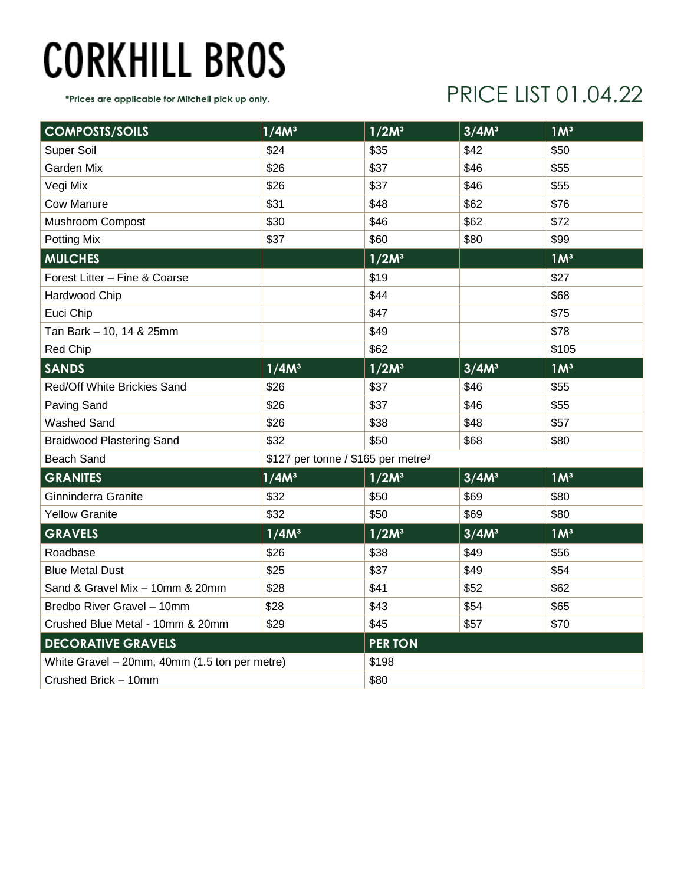## **CORKHILL BROS**

#### **\*Prices are applicable for Mitchell pick up only.** PRICE LIST 01.04.22

| <b>COMPOSTS/SOILS</b>                         | 1/4M <sup>3</sup>                              | 1/2M <sup>3</sup> | 3/4M <sup>3</sup> | 1M <sup>3</sup> |
|-----------------------------------------------|------------------------------------------------|-------------------|-------------------|-----------------|
| Super Soil                                    | \$24                                           | \$35              | \$42              | \$50            |
| Garden Mix                                    | \$26                                           | \$37              | \$46              | \$55            |
| Vegi Mix                                      | \$26                                           | \$37              | \$46              | \$55            |
| <b>Cow Manure</b>                             | \$31                                           | \$48              | \$62              | \$76            |
| Mushroom Compost                              | \$30                                           | \$46              | \$62              | \$72            |
| <b>Potting Mix</b>                            | \$37                                           | \$60              | \$80              | \$99            |
| <b>MULCHES</b>                                |                                                | 1/2M <sup>3</sup> |                   | 1M <sup>3</sup> |
| Forest Litter - Fine & Coarse                 |                                                | \$19              |                   | \$27            |
| Hardwood Chip                                 |                                                | \$44              |                   | \$68            |
| Euci Chip                                     |                                                | \$47              |                   | \$75            |
| Tan Bark - 10, 14 & 25mm                      |                                                | \$49              |                   | \$78            |
| Red Chip                                      |                                                | \$62              |                   | \$105           |
| <b>SANDS</b>                                  | 1/4M <sup>3</sup>                              | 1/2M <sup>3</sup> | 3/4M <sup>3</sup> | 1M <sup>3</sup> |
| Red/Off White Brickies Sand                   | \$26                                           | \$37              | \$46              | \$55            |
| Paving Sand                                   | \$26                                           | \$37              | \$46              | \$55            |
| <b>Washed Sand</b>                            | \$26                                           | \$38              | \$48              | \$57            |
| <b>Braidwood Plastering Sand</b>              | \$32                                           | \$50              | \$68              | \$80            |
| <b>Beach Sand</b>                             | \$127 per tonne / \$165 per metre <sup>3</sup> |                   |                   |                 |
| <b>GRANITES</b>                               | 1/4M <sup>3</sup>                              | 1/2M <sup>3</sup> | 3/4M <sup>3</sup> | 1M <sup>3</sup> |
| Ginninderra Granite                           | \$32                                           | \$50              | \$69              | \$80            |
| <b>Yellow Granite</b>                         | \$32                                           | \$50              | \$69              | \$80            |
| <b>GRAVELS</b>                                | 1/4M <sup>3</sup>                              | 1/2M <sup>3</sup> | 3/4M <sup>3</sup> | 1M <sup>3</sup> |
| Roadbase                                      | \$26                                           | \$38              | \$49              | \$56            |
| <b>Blue Metal Dust</b>                        | \$25                                           | \$37              | \$49              | \$54            |
| Sand & Gravel Mix - 10mm & 20mm               | \$28                                           | \$41              | \$52              | \$62            |
| Bredbo River Gravel - 10mm                    | \$28                                           | \$43              | \$54              | \$65            |
| Crushed Blue Metal - 10mm & 20mm              | \$29                                           | \$45              | \$57              | \$70            |
| <b>DECORATIVE GRAVELS</b>                     |                                                | <b>PER TON</b>    |                   |                 |
| White Gravel - 20mm, 40mm (1.5 ton per metre) |                                                | \$198             |                   |                 |
| Crushed Brick - 10mm                          |                                                | \$80              |                   |                 |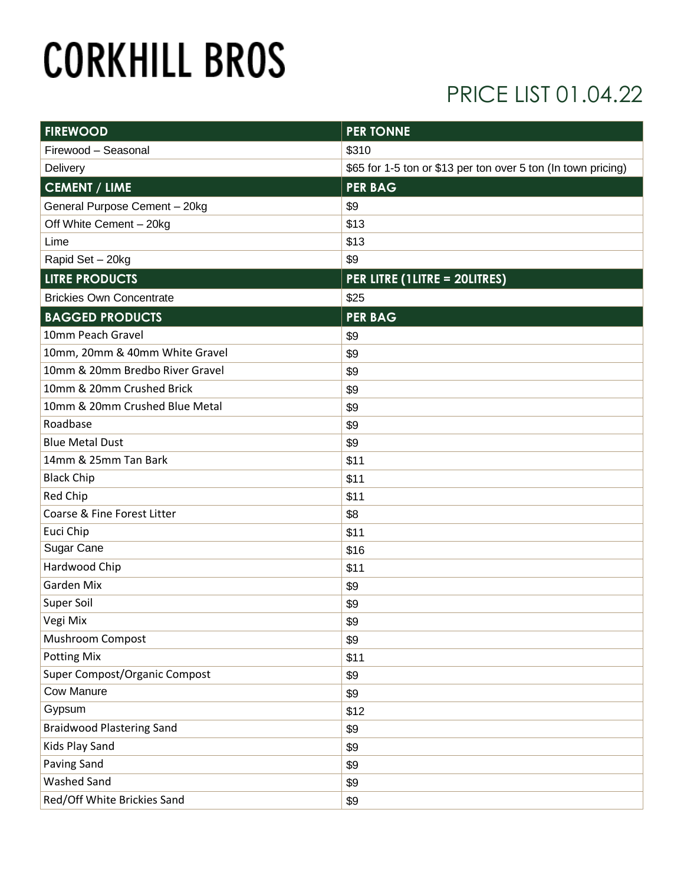# **CORKHILL BROS**

### PRICE LIST 01.04.22

| <b>FIREWOOD</b>                  | <b>PER TONNE</b>                                              |  |
|----------------------------------|---------------------------------------------------------------|--|
| Firewood - Seasonal              | \$310                                                         |  |
| Delivery                         | \$65 for 1-5 ton or \$13 per ton over 5 ton (In town pricing) |  |
| <b>CEMENT / LIME</b>             | <b>PER BAG</b>                                                |  |
| General Purpose Cement - 20kg    | \$9                                                           |  |
| Off White Cement - 20kg          | \$13                                                          |  |
| Lime                             | \$13                                                          |  |
| Rapid Set - 20kg                 | \$9                                                           |  |
| <b>LITRE PRODUCTS</b>            | PER LITRE (1LITRE = 20LITRES)                                 |  |
| <b>Brickies Own Concentrate</b>  | \$25                                                          |  |
| <b>BAGGED PRODUCTS</b>           | <b>PER BAG</b>                                                |  |
| 10mm Peach Gravel                | \$9                                                           |  |
| 10mm, 20mm & 40mm White Gravel   | \$9                                                           |  |
| 10mm & 20mm Bredbo River Gravel  | \$9                                                           |  |
| 10mm & 20mm Crushed Brick        | \$9                                                           |  |
| 10mm & 20mm Crushed Blue Metal   | \$9                                                           |  |
| Roadbase                         | \$9                                                           |  |
| <b>Blue Metal Dust</b>           | \$9                                                           |  |
| 14mm & 25mm Tan Bark             | \$11                                                          |  |
| <b>Black Chip</b>                | \$11                                                          |  |
| Red Chip                         | \$11                                                          |  |
| Coarse & Fine Forest Litter      | \$8                                                           |  |
| Euci Chip                        | \$11                                                          |  |
| Sugar Cane                       | \$16                                                          |  |
| Hardwood Chip                    | \$11                                                          |  |
| Garden Mix                       | \$9                                                           |  |
| Super Soil                       | \$9                                                           |  |
| Vegi Mix                         | \$9                                                           |  |
| <b>Mushroom Compost</b>          | \$9                                                           |  |
| <b>Potting Mix</b>               | \$11                                                          |  |
| Super Compost/Organic Compost    | \$9                                                           |  |
| <b>Cow Manure</b>                | \$9                                                           |  |
| Gypsum                           | \$12                                                          |  |
| <b>Braidwood Plastering Sand</b> | \$9                                                           |  |
| Kids Play Sand                   | \$9                                                           |  |
| <b>Paving Sand</b>               | \$9                                                           |  |
| <b>Washed Sand</b>               | \$9                                                           |  |
| Red/Off White Brickies Sand      | \$9                                                           |  |